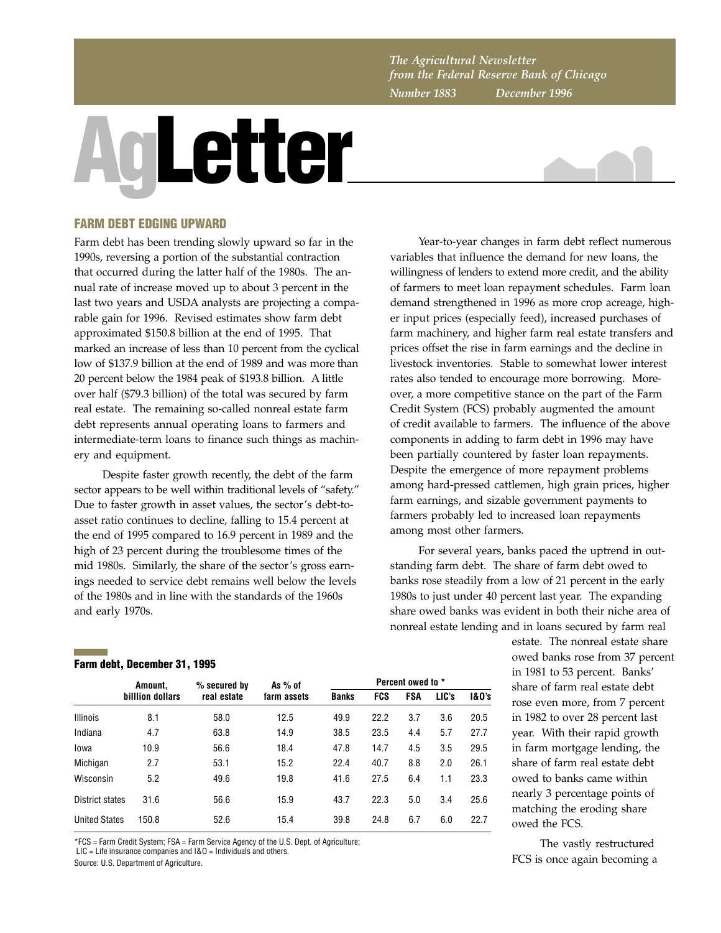*The Agricultural Newsletter from the Federal Reserve Bank of Chicago Number 1883 December 1996*

# **AgLetter**



## **FARM DEBT EDGING UPWARD**

Farm debt has been trending slowly upward so far in the 1990s, reversing a portion of the substantial contraction that occurred during the latter half of the 1980s. The annual rate of increase moved up to about 3 percent in the last two years and USDA analysts are projecting a comparable gain for 1996. Revised estimates show farm debt approximated \$150.8 billion at the end of 1995. That marked an increase of less than 10 percent from the cyclical low of \$137.9 billion at the end of 1989 and was more than 20 percent below the 1984 peak of \$193.8 billion. A little over half (\$79.3 billion) of the total was secured by farm real estate. The remaining so-called nonreal estate farm debt represents annual operating loans to farmers and intermediate-term loans to finance such things as machinery and equipment.

Despite faster growth recently, the debt of the farm sector appears to be well within traditional levels of "safety." Due to faster growth in asset values, the sector's debt-toasset ratio continues to decline, falling to 15.4 percent at the end of 1995 compared to 16.9 percent in 1989 and the high of 23 percent during the troublesome times of the mid 1980s. Similarly, the share of the sector's gross earnings needed to service debt remains well below the levels of the 1980s and in line with the standards of the 1960s and early 1970s.

Year-to-year changes in farm debt reflect numerous variables that influence the demand for new loans, the willingness of lenders to extend more credit, and the ability of farmers to meet loan repayment schedules. Farm loan demand strengthened in 1996 as more crop acreage, higher input prices (especially feed), increased purchases of farm machinery, and higher farm real estate transfers and prices offset the rise in farm earnings and the decline in livestock inventories. Stable to somewhat lower interest rates also tended to encourage more borrowing. Moreover, a more competitive stance on the part of the Farm Credit System (FCS) probably augmented the amount of credit available to farmers. The influence of the above components in adding to farm debt in 1996 may have been partially countered by faster loan repayments. Despite the emergence of more repayment problems among hard-pressed cattlemen, high grain prices, higher farm earnings, and sizable government payments to farmers probably led to increased loan repayments among most other farmers.

For several years, banks paced the uptrend in outstanding farm debt. The share of farm debt owed to banks rose steadily from a low of 21 percent in the early 1980s to just under 40 percent last year. The expanding share owed banks was evident in both their niche area of nonreal estate lending and in loans secured by farm real

### **Farm debt, December 31, 1995**

|                      | Amount.<br>billlion dollars | $%$ secured by<br>real estate | As % of<br>farm assets | Percent owed to * |            |            |       |       |
|----------------------|-----------------------------|-------------------------------|------------------------|-------------------|------------|------------|-------|-------|
|                      |                             |                               |                        | <b>Banks</b>      | <b>FCS</b> | <b>FSA</b> | LIC's | 1&0's |
| <b>Illinois</b>      | 8.1                         | 58.0                          | 12.5                   | 49.9              | 22.2       | 3.7        | 3.6   | 20.5  |
| Indiana              | 4.7                         | 63.8                          | 14.9                   | 38.5              | 23.5       | 4.4        | 5.7   | 27.7  |
| lowa                 | 10.9                        | 56.6                          | 18.4                   | 47.8              | 14.7       | 4.5        | 3.5   | 29.5  |
| Michigan             | 2.7                         | 53.1                          | 15.2                   | 22.4              | 40.7       | 8.8        | 2.0   | 26.1  |
| Wisconsin            | 5.2                         | 49.6                          | 19.8                   | 41.6              | 27.5       | 6.4        | 1.1   | 23.3  |
| District states      | 31.6                        | 56.6                          | 15.9                   | 43.7              | 22.3       | 5.0        | 3.4   | 25.6  |
| <b>United States</b> | 150.8                       | 52.6                          | 15.4                   | 39.8              | 24.8       | 6.7        | 6.0   | 22.7  |

\*FCS = Farm Credit System; FSA = Farm Service Agency of the U.S. Dept. of Agriculture;  $LIC = Life$  insurance companies and  $1&0 =$  Individuals and others.

Source: U.S. Department of Agriculture.

estate. The nonreal estate share owed banks rose from 37 percent in 1981 to 53 percent. Banks' share of farm real estate debt rose even more, from 7 percent in 1982 to over 28 percent last year. With their rapid growth in farm mortgage lending, the share of farm real estate debt owed to banks came within nearly 3 percentage points of matching the eroding share owed the FCS.

The vastly restructured FCS is once again becoming a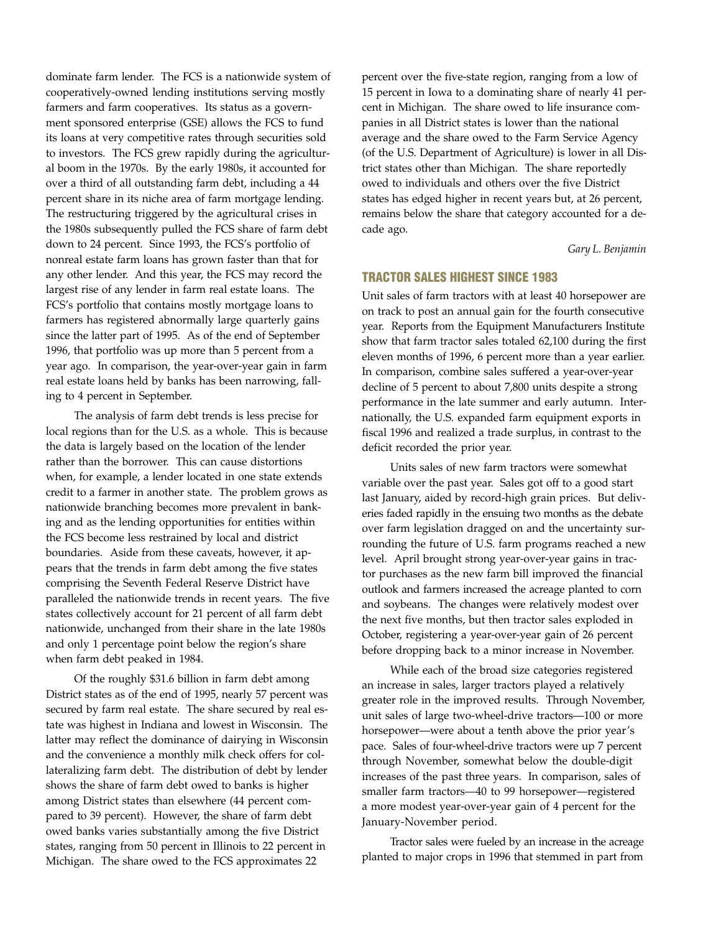dominate farm lender. The FCS is a nationwide system of cooperatively-owned lending institutions serving mostly farmers and farm cooperatives. Its status as a government sponsored enterprise (GSE) allows the FCS to fund its loans at very competitive rates through securities sold to investors. The FCS grew rapidly during the agricultural boom in the 1970s. By the early 1980s, it accounted for over a third of all outstanding farm debt, including a 44 percent share in its niche area of farm mortgage lending. The restructuring triggered by the agricultural crises in the 1980s subsequently pulled the FCS share of farm debt down to 24 percent. Since 1993, the FCS's portfolio of nonreal estate farm loans has grown faster than that for any other lender. And this year, the FCS may record the largest rise of any lender in farm real estate loans. The FCS's portfolio that contains mostly mortgage loans to farmers has registered abnormally large quarterly gains since the latter part of 1995. As of the end of September 1996, that portfolio was up more than 5 percent from a year ago. In comparison, the year-over-year gain in farm real estate loans held by banks has been narrowing, falling to 4 percent in September.

The analysis of farm debt trends is less precise for local regions than for the U.S. as a whole. This is because the data is largely based on the location of the lender rather than the borrower. This can cause distortions when, for example, a lender located in one state extends credit to a farmer in another state. The problem grows as nationwide branching becomes more prevalent in banking and as the lending opportunities for entities within the FCS become less restrained by local and district boundaries. Aside from these caveats, however, it appears that the trends in farm debt among the five states comprising the Seventh Federal Reserve District have paralleled the nationwide trends in recent years. The five states collectively account for 21 percent of all farm debt nationwide, unchanged from their share in the late 1980s and only 1 percentage point below the region's share when farm debt peaked in 1984.

Of the roughly \$31.6 billion in farm debt among District states as of the end of 1995, nearly 57 percent was secured by farm real estate. The share secured by real estate was highest in Indiana and lowest in Wisconsin. The latter may reflect the dominance of dairying in Wisconsin and the convenience a monthly milk check offers for collateralizing farm debt. The distribution of debt by lender shows the share of farm debt owed to banks is higher among District states than elsewhere (44 percent compared to 39 percent). However, the share of farm debt owed banks varies substantially among the five District states, ranging from 50 percent in Illinois to 22 percent in Michigan. The share owed to the FCS approximates 22

percent over the five-state region, ranging from a low of 15 percent in Iowa to a dominating share of nearly 41 percent in Michigan. The share owed to life insurance companies in all District states is lower than the national average and the share owed to the Farm Service Agency (of the U.S. Department of Agriculture) is lower in all District states other than Michigan. The share reportedly owed to individuals and others over the five District states has edged higher in recent years but, at 26 percent, remains below the share that category accounted for a decade ago.

*Gary L. Benjamin*

# **TRACTOR SALES HIGHEST SINCE 1983**

Unit sales of farm tractors with at least 40 horsepower are on track to post an annual gain for the fourth consecutive year. Reports from the Equipment Manufacturers Institute show that farm tractor sales totaled 62,100 during the first eleven months of 1996, 6 percent more than a year earlier. In comparison, combine sales suffered a year-over-year decline of 5 percent to about 7,800 units despite a strong performance in the late summer and early autumn. Internationally, the U.S. expanded farm equipment exports in fiscal 1996 and realized a trade surplus, in contrast to the deficit recorded the prior year.

Units sales of new farm tractors were somewhat variable over the past year. Sales got off to a good start last January, aided by record-high grain prices. But deliveries faded rapidly in the ensuing two months as the debate over farm legislation dragged on and the uncertainty surrounding the future of U.S. farm programs reached a new level. April brought strong year-over-year gains in tractor purchases as the new farm bill improved the financial outlook and farmers increased the acreage planted to corn and soybeans. The changes were relatively modest over the next five months, but then tractor sales exploded in October, registering a year-over-year gain of 26 percent before dropping back to a minor increase in November.

While each of the broad size categories registered an increase in sales, larger tractors played a relatively greater role in the improved results. Through November, unit sales of large two-wheel-drive tractors—100 or more horsepower—were about a tenth above the prior year's pace. Sales of four-wheel-drive tractors were up 7 percent through November, somewhat below the double-digit increases of the past three years. In comparison, sales of smaller farm tractors—40 to 99 horsepower—registered a more modest year-over-year gain of 4 percent for the January-November period.

Tractor sales were fueled by an increase in the acreage planted to major crops in 1996 that stemmed in part from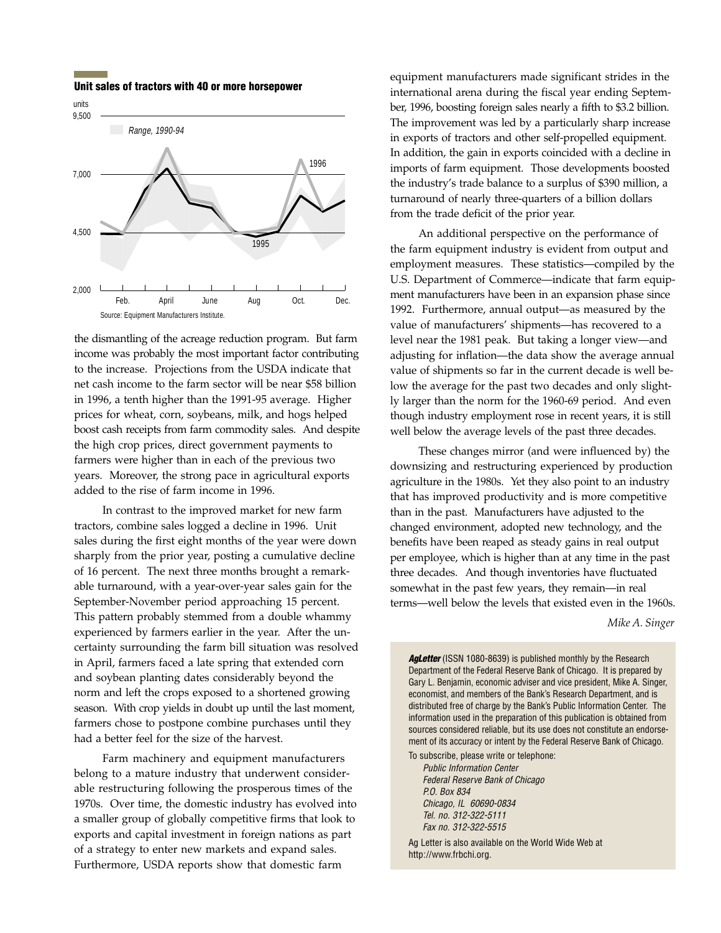2,000 4,500 7,000 9,500 Feb. April June Aug Oct. Dec. units 1995 1996 Source: Equipment Manufacturers Institute. Range, 1990-94

the dismantling of the acreage reduction program. But farm income was probably the most important factor contributing to the increase. Projections from the USDA indicate that net cash income to the farm sector will be near \$58 billion in 1996, a tenth higher than the 1991-95 average. Higher prices for wheat, corn, soybeans, milk, and hogs helped boost cash receipts from farm commodity sales. And despite the high crop prices, direct government payments to farmers were higher than in each of the previous two years. Moreover, the strong pace in agricultural exports added to the rise of farm income in 1996.

In contrast to the improved market for new farm tractors, combine sales logged a decline in 1996. Unit sales during the first eight months of the year were down sharply from the prior year, posting a cumulative decline of 16 percent. The next three months brought a remarkable turnaround, with a year-over-year sales gain for the September-November period approaching 15 percent. This pattern probably stemmed from a double whammy experienced by farmers earlier in the year. After the uncertainty surrounding the farm bill situation was resolved in April, farmers faced a late spring that extended corn and soybean planting dates considerably beyond the norm and left the crops exposed to a shortened growing season. With crop yields in doubt up until the last moment, farmers chose to postpone combine purchases until they had a better feel for the size of the harvest.

Farm machinery and equipment manufacturers belong to a mature industry that underwent considerable restructuring following the prosperous times of the 1970s. Over time, the domestic industry has evolved into a smaller group of globally competitive firms that look to exports and capital investment in foreign nations as part of a strategy to enter new markets and expand sales. Furthermore, USDA reports show that domestic farm

equipment manufacturers made significant strides in the international arena during the fiscal year ending September, 1996, boosting foreign sales nearly a fifth to \$3.2 billion. The improvement was led by a particularly sharp increase in exports of tractors and other self-propelled equipment. In addition, the gain in exports coincided with a decline in imports of farm equipment. Those developments boosted the industry's trade balance to a surplus of \$390 million, a turnaround of nearly three-quarters of a billion dollars from the trade deficit of the prior year.

An additional perspective on the performance of the farm equipment industry is evident from output and employment measures. These statistics—compiled by the U.S. Department of Commerce—indicate that farm equipment manufacturers have been in an expansion phase since 1992. Furthermore, annual output—as measured by the value of manufacturers' shipments—has recovered to a level near the 1981 peak. But taking a longer view—and adjusting for inflation—the data show the average annual value of shipments so far in the current decade is well below the average for the past two decades and only slightly larger than the norm for the 1960-69 period. And even though industry employment rose in recent years, it is still well below the average levels of the past three decades.

These changes mirror (and were influenced by) the downsizing and restructuring experienced by production agriculture in the 1980s. Yet they also point to an industry that has improved productivity and is more competitive than in the past. Manufacturers have adjusted to the changed environment, adopted new technology, and the benefits have been reaped as steady gains in real output per employee, which is higher than at any time in the past three decades. And though inventories have fluctuated somewhat in the past few years, they remain—in real terms—well below the levels that existed even in the 1960s.

*Mike A. Singer*

Agletter (ISSN 1080-8639) is published monthly by the Research Department of the Federal Reserve Bank of Chicago. It is prepared by Gary L. Benjamin, economic adviser and vice president, Mike A. Singer, economist, and members of the Bank's Research Department, and is distributed free of charge by the Bank's Public Information Center. The information used in the preparation of this publication is obtained from sources considered reliable, but its use does not constitute an endorsement of its accuracy or intent by the Federal Reserve Bank of Chicago.

To subscribe, please write or telephone: Public Information Center Federal Reserve Bank of Chicago P.O. Box 834 Chicago, IL 60690-0834 Tel. no. 312-322-5111 Fax no. 312-322-5515

Ag Letter is also available on the World Wide Web at http://www.frbchi.org.



**Unit sales of tractors with 40 or more horsepower**